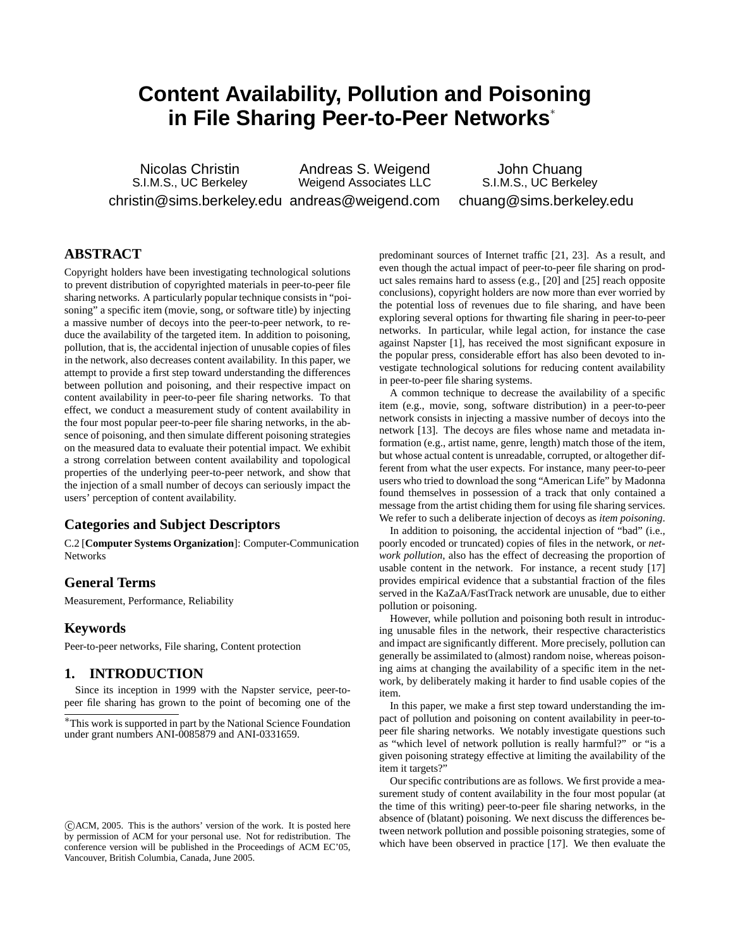# **Content Availability, Pollution and Poisoning in File Sharing Peer-to-Peer Networks**<sup>∗</sup>

Nicolas Christin S.I.M.S., UC Berkeley christin@sims.berkeley.edu andreas@weigend.com Andreas S. Weigend Weigend Associates LLC

John Chuang S.I.M.S., UC Berkeley chuang@sims.berkeley.edu

# **ABSTRACT**

Copyright holders have been investigating technological solutions to prevent distribution of copyrighted materials in peer-to-peer file sharing networks. A particularly popular technique consists in "poisoning" a specific item (movie, song, or software title) by injecting a massive number of decoys into the peer-to-peer network, to reduce the availability of the targeted item. In addition to poisoning, pollution, that is, the accidental injection of unusable copies of files in the network, also decreases content availability. In this paper, we attempt to provide a first step toward understanding the differences between pollution and poisoning, and their respective impact on content availability in peer-to-peer file sharing networks. To that effect, we conduct a measurement study of content availability in the four most popular peer-to-peer file sharing networks, in the absence of poisoning, and then simulate different poisoning strategies on the measured data to evaluate their potential impact. We exhibit a strong correlation between content availability and topological properties of the underlying peer-to-peer network, and show that the injection of a small number of decoys can seriously impact the users' perception of content availability.

# **Categories and Subject Descriptors**

C.2 [**Computer Systems Organization**]: Computer-Communication Networks

# **General Terms**

Measurement, Performance, Reliability

# **Keywords**

Peer-to-peer networks, File sharing, Content protection

## **1. INTRODUCTION**

Since its inception in 1999 with the Napster service, peer-topeer file sharing has grown to the point of becoming one of the predominant sources of Internet traffic [21, 23]. As a result, and even though the actual impact of peer-to-peer file sharing on product sales remains hard to assess (e.g., [20] and [25] reach opposite conclusions), copyright holders are now more than ever worried by the potential loss of revenues due to file sharing, and have been exploring several options for thwarting file sharing in peer-to-peer networks. In particular, while legal action, for instance the case against Napster [1], has received the most significant exposure in the popular press, considerable effort has also been devoted to investigate technological solutions for reducing content availability in peer-to-peer file sharing systems.

A common technique to decrease the availability of a specific item (e.g., movie, song, software distribution) in a peer-to-peer network consists in injecting a massive number of decoys into the network [13]. The decoys are files whose name and metadata information (e.g., artist name, genre, length) match those of the item, but whose actual content is unreadable, corrupted, or altogether different from what the user expects. For instance, many peer-to-peer users who tried to download the song "American Life" by Madonna found themselves in possession of a track that only contained a message from the artist chiding them for using file sharing services. We refer to such a deliberate injection of decoys as *item poisoning*.

In addition to poisoning, the accidental injection of "bad" (i.e., poorly encoded or truncated) copies of files in the network, or *network pollution*, also has the effect of decreasing the proportion of usable content in the network. For instance, a recent study [17] provides empirical evidence that a substantial fraction of the files served in the KaZaA/FastTrack network are unusable, due to either pollution or poisoning.

However, while pollution and poisoning both result in introducing unusable files in the network, their respective characteristics and impact are significantly different. More precisely, pollution can generally be assimilated to (almost) random noise, whereas poisoning aims at changing the availability of a specific item in the network, by deliberately making it harder to find usable copies of the item.

In this paper, we make a first step toward understanding the impact of pollution and poisoning on content availability in peer-topeer file sharing networks. We notably investigate questions such as "which level of network pollution is really harmful?" or "is a given poisoning strategy effective at limiting the availability of the item it targets?"

Our specific contributions are as follows. We first provide a measurement study of content availability in the four most popular (at the time of this writing) peer-to-peer file sharing networks, in the absence of (blatant) poisoning. We next discuss the differences between network pollution and possible poisoning strategies, some of which have been observed in practice [17]. We then evaluate the

<sup>∗</sup>This work is supported in part by the National Science Foundation under grant numbers ANI-0085879 and ANI-0331659.

 $\overline{C}$ ACM, 2005. This is the authors' version of the work. It is posted here by permission of ACM for your personal use. Not for redistribution. The conference version will be published in the Proceedings of ACM EC'05, Vancouver, British Columbia, Canada, June 2005.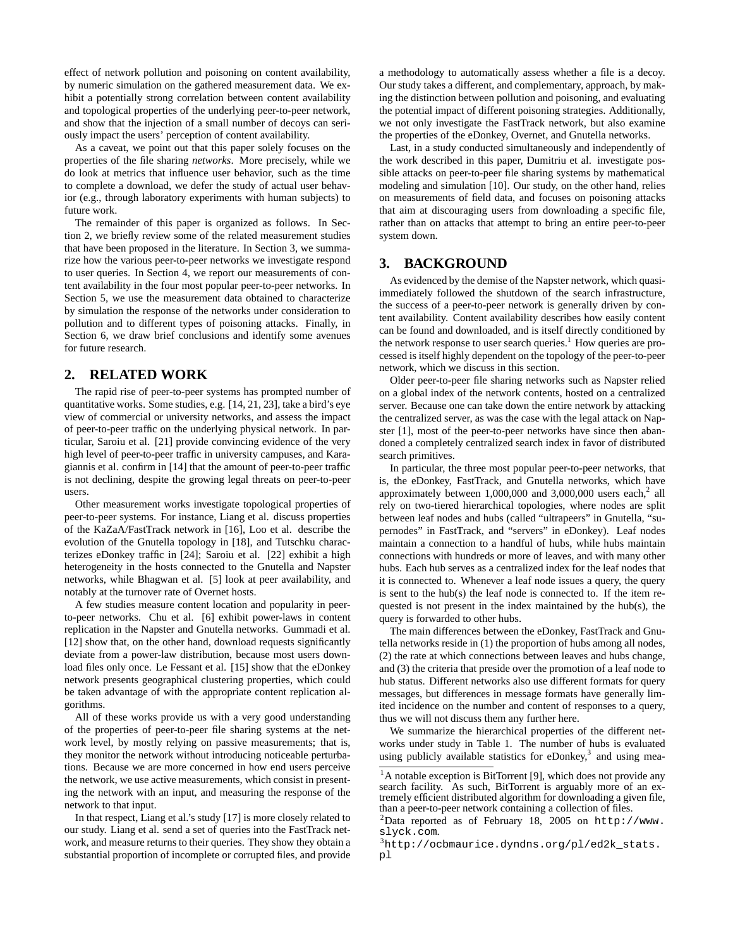effect of network pollution and poisoning on content availability, by numeric simulation on the gathered measurement data. We exhibit a potentially strong correlation between content availability and topological properties of the underlying peer-to-peer network, and show that the injection of a small number of decoys can seriously impact the users' perception of content availability.

As a caveat, we point out that this paper solely focuses on the properties of the file sharing *networks*. More precisely, while we do look at metrics that influence user behavior, such as the time to complete a download, we defer the study of actual user behavior (e.g., through laboratory experiments with human subjects) to future work.

The remainder of this paper is organized as follows. In Section 2, we briefly review some of the related measurement studies that have been proposed in the literature. In Section 3, we summarize how the various peer-to-peer networks we investigate respond to user queries. In Section 4, we report our measurements of content availability in the four most popular peer-to-peer networks. In Section 5, we use the measurement data obtained to characterize by simulation the response of the networks under consideration to pollution and to different types of poisoning attacks. Finally, in Section 6, we draw brief conclusions and identify some avenues for future research.

# **2. RELATED WORK**

The rapid rise of peer-to-peer systems has prompted number of quantitative works. Some studies, e.g. [14, 21, 23], take a bird's eye view of commercial or university networks, and assess the impact of peer-to-peer traffic on the underlying physical network. In particular, Saroiu et al. [21] provide convincing evidence of the very high level of peer-to-peer traffic in university campuses, and Karagiannis et al. confirm in [14] that the amount of peer-to-peer traffic is not declining, despite the growing legal threats on peer-to-peer users.

Other measurement works investigate topological properties of peer-to-peer systems. For instance, Liang et al. discuss properties of the KaZaA/FastTrack network in [16], Loo et al. describe the evolution of the Gnutella topology in [18], and Tutschku characterizes eDonkey traffic in [24]; Saroiu et al. [22] exhibit a high heterogeneity in the hosts connected to the Gnutella and Napster networks, while Bhagwan et al. [5] look at peer availability, and notably at the turnover rate of Overnet hosts.

A few studies measure content location and popularity in peerto-peer networks. Chu et al. [6] exhibit power-laws in content replication in the Napster and Gnutella networks. Gummadi et al. [12] show that, on the other hand, download requests significantly deviate from a power-law distribution, because most users download files only once. Le Fessant et al. [15] show that the eDonkey network presents geographical clustering properties, which could be taken advantage of with the appropriate content replication algorithms.

All of these works provide us with a very good understanding of the properties of peer-to-peer file sharing systems at the network level, by mostly relying on passive measurements; that is, they monitor the network without introducing noticeable perturbations. Because we are more concerned in how end users perceive the network, we use active measurements, which consist in presenting the network with an input, and measuring the response of the network to that input.

In that respect, Liang et al.'s study [17] is more closely related to our study. Liang et al. send a set of queries into the FastTrack network, and measure returns to their queries. They show they obtain a substantial proportion of incomplete or corrupted files, and provide

a methodology to automatically assess whether a file is a decoy. Our study takes a different, and complementary, approach, by making the distinction between pollution and poisoning, and evaluating the potential impact of different poisoning strategies. Additionally, we not only investigate the FastTrack network, but also examine the properties of the eDonkey, Overnet, and Gnutella networks.

Last, in a study conducted simultaneously and independently of the work described in this paper, Dumitriu et al. investigate possible attacks on peer-to-peer file sharing systems by mathematical modeling and simulation [10]. Our study, on the other hand, relies on measurements of field data, and focuses on poisoning attacks that aim at discouraging users from downloading a specific file, rather than on attacks that attempt to bring an entire peer-to-peer system down.

# **3. BACKGROUND**

As evidenced by the demise of the Napster network, which quasiimmediately followed the shutdown of the search infrastructure, the success of a peer-to-peer network is generally driven by content availability. Content availability describes how easily content can be found and downloaded, and is itself directly conditioned by the network response to user search queries.<sup>1</sup> How queries are processed is itself highly dependent on the topology of the peer-to-peer network, which we discuss in this section.

Older peer-to-peer file sharing networks such as Napster relied on a global index of the network contents, hosted on a centralized server. Because one can take down the entire network by attacking the centralized server, as was the case with the legal attack on Napster [1], most of the peer-to-peer networks have since then abandoned a completely centralized search index in favor of distributed search primitives.

In particular, the three most popular peer-to-peer networks, that is, the eDonkey, FastTrack, and Gnutella networks, which have approximately between  $1,000,000$  and  $3,000,000$  users each,<sup>2</sup> all rely on two-tiered hierarchical topologies, where nodes are split between leaf nodes and hubs (called "ultrapeers" in Gnutella, "supernodes" in FastTrack, and "servers" in eDonkey). Leaf nodes maintain a connection to a handful of hubs, while hubs maintain connections with hundreds or more of leaves, and with many other hubs. Each hub serves as a centralized index for the leaf nodes that it is connected to. Whenever a leaf node issues a query, the query is sent to the hub(s) the leaf node is connected to. If the item requested is not present in the index maintained by the hub(s), the query is forwarded to other hubs.

The main differences between the eDonkey, FastTrack and Gnutella networks reside in (1) the proportion of hubs among all nodes, (2) the rate at which connections between leaves and hubs change, and (3) the criteria that preside over the promotion of a leaf node to hub status. Different networks also use different formats for query messages, but differences in message formats have generally limited incidence on the number and content of responses to a query, thus we will not discuss them any further here.

We summarize the hierarchical properties of the different networks under study in Table 1. The number of hubs is evaluated using publicly available statistics for eDonkey, $3$  and using mea-

<sup>&</sup>lt;sup>1</sup>A notable exception is BitTorrent [9], which does not provide any search facility. As such, BitTorrent is arguably more of an extremely efficient distributed algorithm for downloading a given file, than a peer-to-peer network containing a collection of files.

 $^{2}$ Data reported as of February 18, 2005 on http://www. slyck.com.

<sup>3</sup>http://ocbmaurice.dyndns.org/pl/ed2k\_stats. pl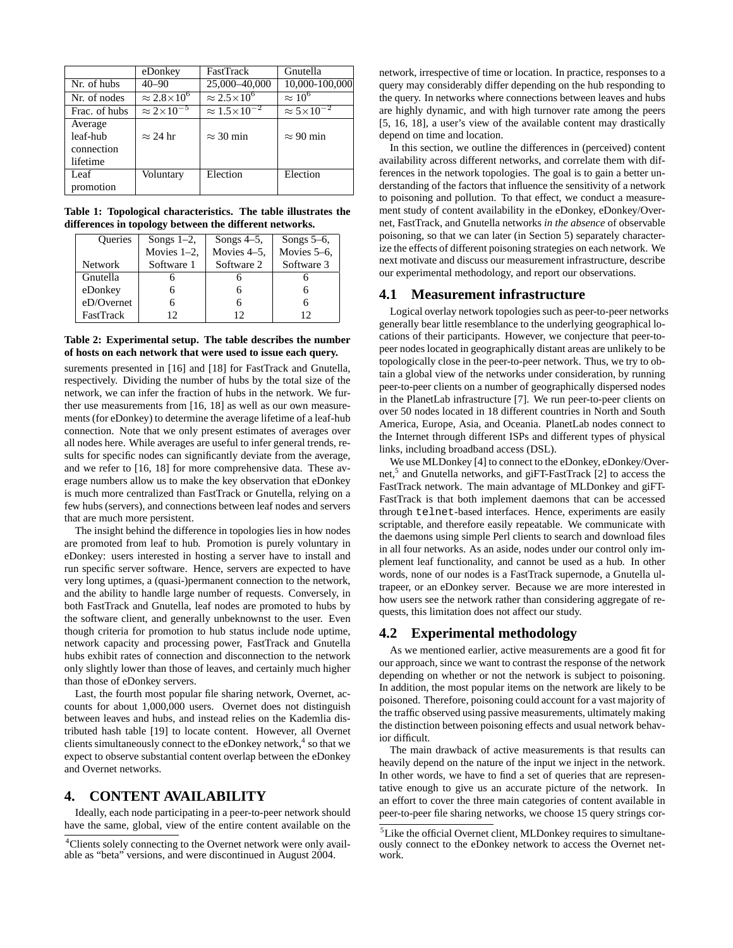|               | eDonkey                  | <b>FastTrack</b>           | Gnutella                 |
|---------------|--------------------------|----------------------------|--------------------------|
| Nr. of hubs   | $40 - 90$                | 25,000-40,000              | 10,000-100,000           |
| Nr. of nodes  | $\approx 2.8\times10^6$  | $\approx 2.5 \times 10^6$  | $\approx 10^6$           |
| Frac. of hubs | $\approx 2\times10^{-5}$ | $\approx 1.5\times10^{-2}$ | $\approx 5\times10^{-2}$ |
| Average       |                          |                            |                          |
| leaf-hub      | $\approx$ 24 hr          | $\approx$ 30 min           | $\approx$ 90 min         |
| connection    |                          |                            |                          |
| lifetime      |                          |                            |                          |
| Leaf          | Voluntary                | Election                   | Election                 |
| promotion     |                          |                            |                          |

**Table 1: Topological characteristics. The table illustrates the differences in topology between the different networks.**

| Queries          | Songs $1-2$ ,  | Songs $4-5$ , | Songs $5-6$ , |  |  |
|------------------|----------------|---------------|---------------|--|--|
|                  | Movies $1-2$ , | Movies 4-5,   | Movies 5-6,   |  |  |
| <b>Network</b>   | Software 1     | Software 2    | Software 3    |  |  |
| Gnutella         |                |               |               |  |  |
| eDonkey          |                |               |               |  |  |
| eD/Overnet       |                |               |               |  |  |
| <b>FastTrack</b> |                | 12            | 12            |  |  |

### **Table 2: Experimental setup. The table describes the number of hosts on each network that were used to issue each query.**

surements presented in [16] and [18] for FastTrack and Gnutella, respectively. Dividing the number of hubs by the total size of the network, we can infer the fraction of hubs in the network. We further use measurements from [16, 18] as well as our own measurements (for eDonkey) to determine the average lifetime of a leaf-hub connection. Note that we only present estimates of averages over all nodes here. While averages are useful to infer general trends, results for specific nodes can significantly deviate from the average, and we refer to [16, 18] for more comprehensive data. These average numbers allow us to make the key observation that eDonkey is much more centralized than FastTrack or Gnutella, relying on a few hubs (servers), and connections between leaf nodes and servers that are much more persistent.

The insight behind the difference in topologies lies in how nodes are promoted from leaf to hub. Promotion is purely voluntary in eDonkey: users interested in hosting a server have to install and run specific server software. Hence, servers are expected to have very long uptimes, a (quasi-)permanent connection to the network, and the ability to handle large number of requests. Conversely, in both FastTrack and Gnutella, leaf nodes are promoted to hubs by the software client, and generally unbeknownst to the user. Even though criteria for promotion to hub status include node uptime, network capacity and processing power, FastTrack and Gnutella hubs exhibit rates of connection and disconnection to the network only slightly lower than those of leaves, and certainly much higher than those of eDonkey servers.

Last, the fourth most popular file sharing network, Overnet, accounts for about 1,000,000 users. Overnet does not distinguish between leaves and hubs, and instead relies on the Kademlia distributed hash table [19] to locate content. However, all Overnet clients simultaneously connect to the eDonkey network,<sup>4</sup> so that we expect to observe substantial content overlap between the eDonkey and Overnet networks.

# **4. CONTENT AVAILABILITY**

Ideally, each node participating in a peer-to-peer network should have the same, global, view of the entire content available on the

network, irrespective of time or location. In practice, responses to a query may considerably differ depending on the hub responding to the query. In networks where connections between leaves and hubs are highly dynamic, and with high turnover rate among the peers [5, 16, 18], a user's view of the available content may drastically depend on time and location.

In this section, we outline the differences in (perceived) content availability across different networks, and correlate them with differences in the network topologies. The goal is to gain a better understanding of the factors that influence the sensitivity of a network to poisoning and pollution. To that effect, we conduct a measurement study of content availability in the eDonkey, eDonkey/Overnet, FastTrack, and Gnutella networks *in the absence* of observable poisoning, so that we can later (in Section 5) separately characterize the effects of different poisoning strategies on each network. We next motivate and discuss our measurement infrastructure, describe our experimental methodology, and report our observations.

#### **4.1 Measurement infrastructure**

Logical overlay network topologies such as peer-to-peer networks generally bear little resemblance to the underlying geographical locations of their participants. However, we conjecture that peer-topeer nodes located in geographically distant areas are unlikely to be topologically close in the peer-to-peer network. Thus, we try to obtain a global view of the networks under consideration, by running peer-to-peer clients on a number of geographically dispersed nodes in the PlanetLab infrastructure [7]. We run peer-to-peer clients on over 50 nodes located in 18 different countries in North and South America, Europe, Asia, and Oceania. PlanetLab nodes connect to the Internet through different ISPs and different types of physical links, including broadband access (DSL).

We use MLDonkey [4] to connect to the eDonkey, eDonkey/Overnet,<sup>5</sup> and Gnutella networks, and giFT-FastTrack [2] to access the FastTrack network. The main advantage of MLDonkey and giFT-FastTrack is that both implement daemons that can be accessed through telnet-based interfaces. Hence, experiments are easily scriptable, and therefore easily repeatable. We communicate with the daemons using simple Perl clients to search and download files in all four networks. As an aside, nodes under our control only implement leaf functionality, and cannot be used as a hub. In other words, none of our nodes is a FastTrack supernode, a Gnutella ultrapeer, or an eDonkey server. Because we are more interested in how users see the network rather than considering aggregate of requests, this limitation does not affect our study.

### **4.2 Experimental methodology**

As we mentioned earlier, active measurements are a good fit for our approach, since we want to contrast the response of the network depending on whether or not the network is subject to poisoning. In addition, the most popular items on the network are likely to be poisoned. Therefore, poisoning could account for a vast majority of the traffic observed using passive measurements, ultimately making the distinction between poisoning effects and usual network behavior difficult.

The main drawback of active measurements is that results can heavily depend on the nature of the input we inject in the network. In other words, we have to find a set of queries that are representative enough to give us an accurate picture of the network. In an effort to cover the three main categories of content available in peer-to-peer file sharing networks, we choose 15 query strings cor-

<sup>&</sup>lt;sup>4</sup>Clients solely connecting to the Overnet network were only available as "beta" versions, and were discontinued in August 2004.

<sup>5</sup>Like the official Overnet client, MLDonkey requires to simultaneously connect to the eDonkey network to access the Overnet network.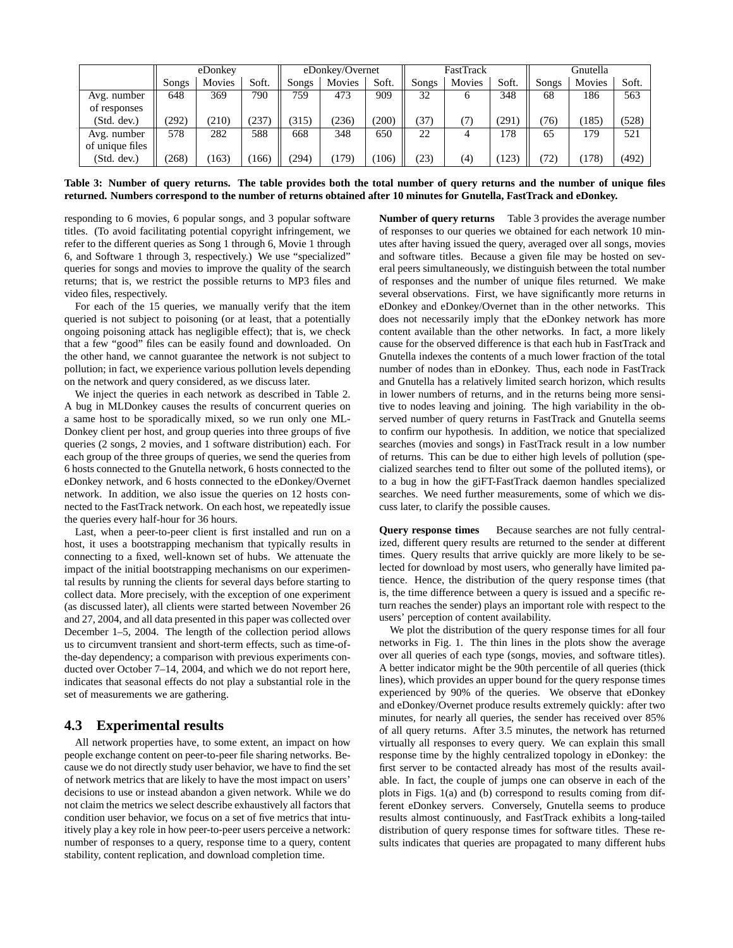|                 | eDonkey |        | eDonkey/Overnet |       | FastTrack |       |       | Gnutella |       |       |        |       |
|-----------------|---------|--------|-----------------|-------|-----------|-------|-------|----------|-------|-------|--------|-------|
|                 | Songs   | Movies | Soft.           | Songs | Movies    | Soft. | Songs | Movies   | Soft. | Songs | Movies | Soft. |
| Avg. number     | 648     | 369    | 790             | 759   | 473       | 909   | 32    | o        | 348   | 68    | 186    | 563   |
| of responses    |         |        |                 |       |           |       |       |          |       |       |        |       |
| (Std. dev.)     | (292)   | (210)  | 237             | (315) | (236)     | (200) | 37)   |          | (291) | (76)  | (185)  | (528) |
| Avg. number     | 578     | 282    | 588             | 668   | 348       | 650   | 22    |          | 178   | 65    | 179    | 521   |
| of unique files |         |        |                 |       |           |       |       |          |       |       |        |       |
| (Std. dev.)     | (268)   | 163)   | 166)            | (294) | (179)     | 106)  | 23)   | (4)      | (123) | 72)   | (178)  | (492) |

**Table 3: Number of query returns. The table provides both the total number of query returns and the number of unique files returned. Numbers correspond to the number of returns obtained after 10 minutes for Gnutella, FastTrack and eDonkey.**

responding to 6 movies, 6 popular songs, and 3 popular software titles. (To avoid facilitating potential copyright infringement, we refer to the different queries as Song 1 through 6, Movie 1 through 6, and Software 1 through 3, respectively.) We use "specialized" queries for songs and movies to improve the quality of the search returns; that is, we restrict the possible returns to MP3 files and video files, respectively.

For each of the 15 queries, we manually verify that the item queried is not subject to poisoning (or at least, that a potentially ongoing poisoning attack has negligible effect); that is, we check that a few "good" files can be easily found and downloaded. On the other hand, we cannot guarantee the network is not subject to pollution; in fact, we experience various pollution levels depending on the network and query considered, as we discuss later.

We inject the queries in each network as described in Table 2. A bug in MLDonkey causes the results of concurrent queries on a same host to be sporadically mixed, so we run only one ML-Donkey client per host, and group queries into three groups of five queries (2 songs, 2 movies, and 1 software distribution) each. For each group of the three groups of queries, we send the queries from 6 hosts connected to the Gnutella network, 6 hosts connected to the eDonkey network, and 6 hosts connected to the eDonkey/Overnet network. In addition, we also issue the queries on 12 hosts connected to the FastTrack network. On each host, we repeatedly issue the queries every half-hour for 36 hours.

Last, when a peer-to-peer client is first installed and run on a host, it uses a bootstrapping mechanism that typically results in connecting to a fixed, well-known set of hubs. We attenuate the impact of the initial bootstrapping mechanisms on our experimental results by running the clients for several days before starting to collect data. More precisely, with the exception of one experiment (as discussed later), all clients were started between November 26 and 27, 2004, and all data presented in this paper was collected over December 1–5, 2004. The length of the collection period allows us to circumvent transient and short-term effects, such as time-ofthe-day dependency; a comparison with previous experiments conducted over October 7–14, 2004, and which we do not report here, indicates that seasonal effects do not play a substantial role in the set of measurements we are gathering.

### **4.3 Experimental results**

All network properties have, to some extent, an impact on how people exchange content on peer-to-peer file sharing networks. Because we do not directly study user behavior, we have to find the set of network metrics that are likely to have the most impact on users' decisions to use or instead abandon a given network. While we do not claim the metrics we select describe exhaustively all factors that condition user behavior, we focus on a set of five metrics that intuitively play a key role in how peer-to-peer users perceive a network: number of responses to a query, response time to a query, content stability, content replication, and download completion time.

**Number of query returns** Table 3 provides the average number of responses to our queries we obtained for each network 10 minutes after having issued the query, averaged over all songs, movies and software titles. Because a given file may be hosted on several peers simultaneously, we distinguish between the total number of responses and the number of unique files returned. We make several observations. First, we have significantly more returns in eDonkey and eDonkey/Overnet than in the other networks. This does not necessarily imply that the eDonkey network has more content available than the other networks. In fact, a more likely cause for the observed difference is that each hub in FastTrack and Gnutella indexes the contents of a much lower fraction of the total number of nodes than in eDonkey. Thus, each node in FastTrack and Gnutella has a relatively limited search horizon, which results in lower numbers of returns, and in the returns being more sensitive to nodes leaving and joining. The high variability in the observed number of query returns in FastTrack and Gnutella seems to confirm our hypothesis. In addition, we notice that specialized searches (movies and songs) in FastTrack result in a low number of returns. This can be due to either high levels of pollution (specialized searches tend to filter out some of the polluted items), or to a bug in how the giFT-FastTrack daemon handles specialized searches. We need further measurements, some of which we discuss later, to clarify the possible causes.

**Query response times** Because searches are not fully centralized, different query results are returned to the sender at different times. Query results that arrive quickly are more likely to be selected for download by most users, who generally have limited patience. Hence, the distribution of the query response times (that is, the time difference between a query is issued and a specific return reaches the sender) plays an important role with respect to the users' perception of content availability.

We plot the distribution of the query response times for all four networks in Fig. 1. The thin lines in the plots show the average over all queries of each type (songs, movies, and software titles). A better indicator might be the 90th percentile of all queries (thick lines), which provides an upper bound for the query response times experienced by 90% of the queries. We observe that eDonkey and eDonkey/Overnet produce results extremely quickly: after two minutes, for nearly all queries, the sender has received over 85% of all query returns. After 3.5 minutes, the network has returned virtually all responses to every query. We can explain this small response time by the highly centralized topology in eDonkey: the first server to be contacted already has most of the results available. In fact, the couple of jumps one can observe in each of the plots in Figs. 1(a) and (b) correspond to results coming from different eDonkey servers. Conversely, Gnutella seems to produce results almost continuously, and FastTrack exhibits a long-tailed distribution of query response times for software titles. These results indicates that queries are propagated to many different hubs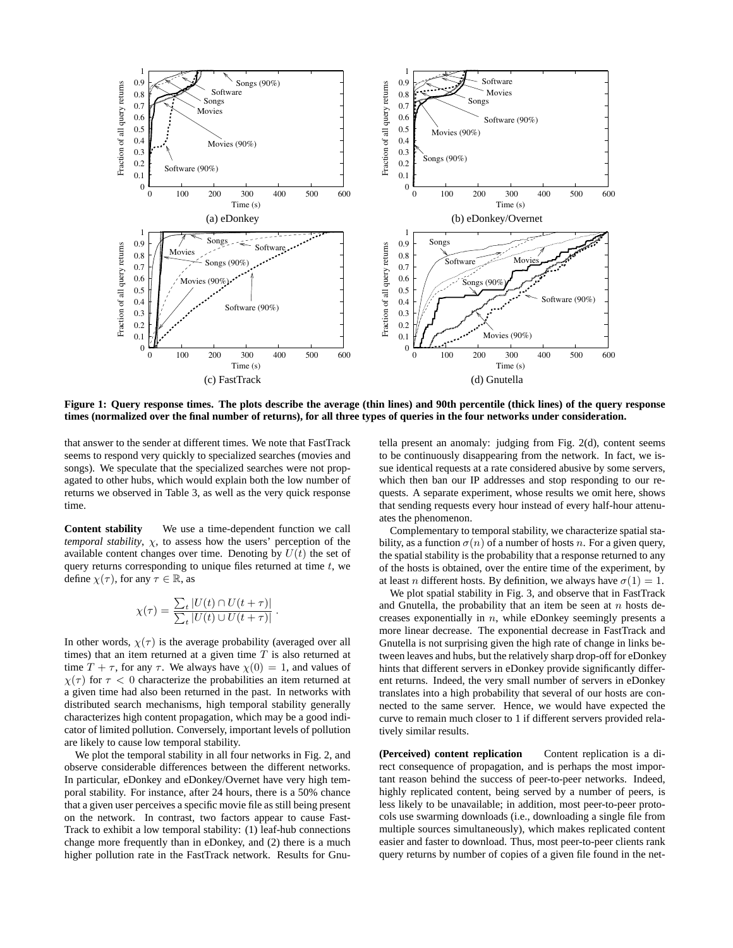

**Figure 1: Query response times. The plots describe the average (thin lines) and 90th percentile (thick lines) of the query response times (normalized over the final number of returns), for all three types of queries in the four networks under consideration.**

that answer to the sender at different times. We note that FastTrack seems to respond very quickly to specialized searches (movies and songs). We speculate that the specialized searches were not propagated to other hubs, which would explain both the low number of returns we observed in Table 3, as well as the very quick response time.

**Content stability** We use a time-dependent function we call *temporal stability*,  $\chi$ , to assess how the users' perception of the available content changes over time. Denoting by  $U(t)$  the set of query returns corresponding to unique files returned at time  $t$ , we define  $\chi(\tau)$ , for any  $\tau \in \mathbb{R}$ , as

$$
\chi(\tau) = \frac{\sum_{t} |U(t) \cap U(t + \tau)|}{\sum_{t} |U(t) \cup U(t + \tau)|}
$$

.

In other words,  $\chi(\tau)$  is the average probability (averaged over all times) that an item returned at a given time  $T$  is also returned at time  $T + \tau$ , for any  $\tau$ . We always have  $\chi(0) = 1$ , and values of  $\chi(\tau)$  for  $\tau < 0$  characterize the probabilities an item returned at a given time had also been returned in the past. In networks with distributed search mechanisms, high temporal stability generally characterizes high content propagation, which may be a good indicator of limited pollution. Conversely, important levels of pollution are likely to cause low temporal stability.

We plot the temporal stability in all four networks in Fig. 2, and observe considerable differences between the different networks. In particular, eDonkey and eDonkey/Overnet have very high temporal stability. For instance, after 24 hours, there is a 50% chance that a given user perceives a specific movie file as still being present on the network. In contrast, two factors appear to cause Fast-Track to exhibit a low temporal stability: (1) leaf-hub connections change more frequently than in eDonkey, and (2) there is a much higher pollution rate in the FastTrack network. Results for Gnutella present an anomaly: judging from Fig. 2(d), content seems to be continuously disappearing from the network. In fact, we issue identical requests at a rate considered abusive by some servers, which then ban our IP addresses and stop responding to our requests. A separate experiment, whose results we omit here, shows that sending requests every hour instead of every half-hour attenuates the phenomenon.

Complementary to temporal stability, we characterize spatial stability, as a function  $\sigma(n)$  of a number of hosts n. For a given query, the spatial stability is the probability that a response returned to any of the hosts is obtained, over the entire time of the experiment, by at least *n* different hosts. By definition, we always have  $\sigma(1) = 1$ .

We plot spatial stability in Fig. 3, and observe that in FastTrack and Gnutella, the probability that an item be seen at  $n$  hosts decreases exponentially in n, while eDonkey seemingly presents a more linear decrease. The exponential decrease in FastTrack and Gnutella is not surprising given the high rate of change in links between leaves and hubs, but the relatively sharp drop-off for eDonkey hints that different servers in eDonkey provide significantly different returns. Indeed, the very small number of servers in eDonkey translates into a high probability that several of our hosts are connected to the same server. Hence, we would have expected the curve to remain much closer to 1 if different servers provided relatively similar results.

**(Perceived) content replication** Content replication is a direct consequence of propagation, and is perhaps the most important reason behind the success of peer-to-peer networks. Indeed, highly replicated content, being served by a number of peers, is less likely to be unavailable; in addition, most peer-to-peer protocols use swarming downloads (i.e., downloading a single file from multiple sources simultaneously), which makes replicated content easier and faster to download. Thus, most peer-to-peer clients rank query returns by number of copies of a given file found in the net-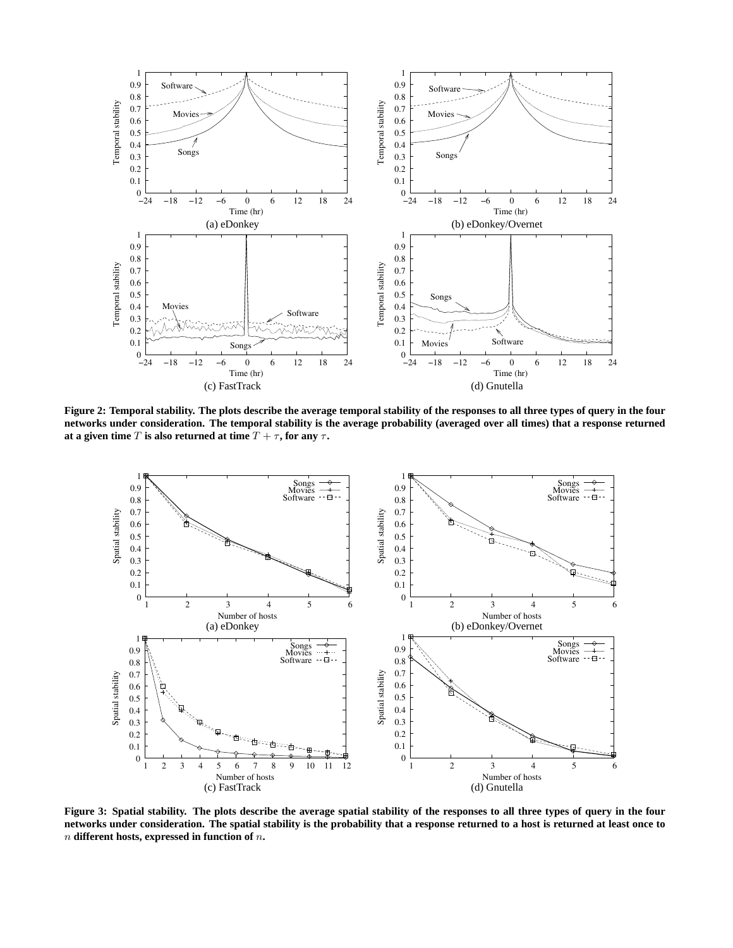

**Figure 2: Temporal stability. The plots describe the average temporal stability of the responses to all three types of query in the four networks under consideration. The temporal stability is the average probability (averaged over all times) that a response returned at a given time** T **is also returned at time**  $T + \tau$ , for any  $\tau$ .



**Figure 3: Spatial stability. The plots describe the average spatial stability of the responses to all three types of query in the four networks under consideration. The spatial stability is the probability that a response returned to a host is returned at least once to** n **different hosts, expressed in function of** n**.**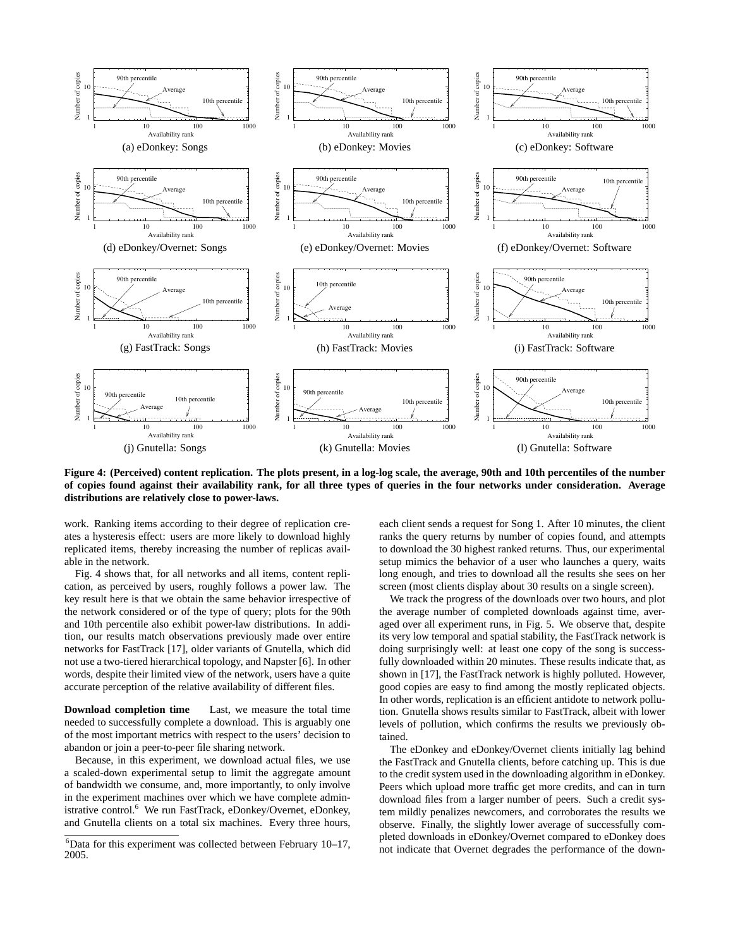

**Figure 4: (Perceived) content replication. The plots present, in a log-log scale, the average, 90th and 10th percentiles of the number of copies found against their availability rank, for all three types of queries in the four networks under consideration. Average distributions are relatively close to power-laws.**

work. Ranking items according to their degree of replication creates a hysteresis effect: users are more likely to download highly replicated items, thereby increasing the number of replicas available in the network.

Fig. 4 shows that, for all networks and all items, content replication, as perceived by users, roughly follows a power law. The key result here is that we obtain the same behavior irrespective of the network considered or of the type of query; plots for the 90th and 10th percentile also exhibit power-law distributions. In addition, our results match observations previously made over entire networks for FastTrack [17], older variants of Gnutella, which did not use a two-tiered hierarchical topology, and Napster [6]. In other words, despite their limited view of the network, users have a quite accurate perception of the relative availability of different files.

**Download completion time** Last, we measure the total time needed to successfully complete a download. This is arguably one of the most important metrics with respect to the users' decision to abandon or join a peer-to-peer file sharing network.

Because, in this experiment, we download actual files, we use a scaled-down experimental setup to limit the aggregate amount of bandwidth we consume, and, more importantly, to only involve in the experiment machines over which we have complete administrative control.<sup>6</sup> We run FastTrack, eDonkey/Overnet, eDonkey, and Gnutella clients on a total six machines. Every three hours,

each client sends a request for Song 1. After 10 minutes, the client ranks the query returns by number of copies found, and attempts to download the 30 highest ranked returns. Thus, our experimental setup mimics the behavior of a user who launches a query, waits long enough, and tries to download all the results she sees on her screen (most clients display about 30 results on a single screen).

We track the progress of the downloads over two hours, and plot the average number of completed downloads against time, averaged over all experiment runs, in Fig. 5. We observe that, despite its very low temporal and spatial stability, the FastTrack network is doing surprisingly well: at least one copy of the song is successfully downloaded within 20 minutes. These results indicate that, as shown in [17], the FastTrack network is highly polluted. However, good copies are easy to find among the mostly replicated objects. In other words, replication is an efficient antidote to network pollution. Gnutella shows results similar to FastTrack, albeit with lower levels of pollution, which confirms the results we previously obtained.

The eDonkey and eDonkey/Overnet clients initially lag behind the FastTrack and Gnutella clients, before catching up. This is due to the credit system used in the downloading algorithm in eDonkey. Peers which upload more traffic get more credits, and can in turn download files from a larger number of peers. Such a credit system mildly penalizes newcomers, and corroborates the results we observe. Finally, the slightly lower average of successfully completed downloads in eDonkey/Overnet compared to eDonkey does not indicate that Overnet degrades the performance of the down-

 $6$ Data for this experiment was collected between February 10–17, 2005.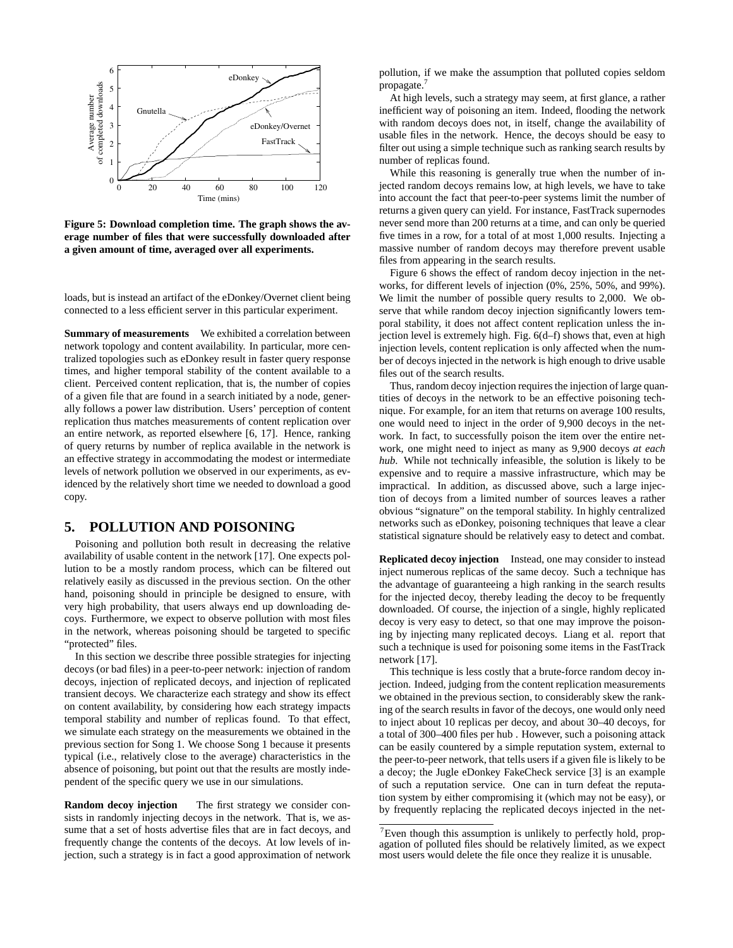

**Figure 5: Download completion time. The graph shows the average number of files that were successfully downloaded after a given amount of time, averaged over all experiments.**

loads, but is instead an artifact of the eDonkey/Overnet client being connected to a less efficient server in this particular experiment.

**Summary of measurements** We exhibited a correlation between network topology and content availability. In particular, more centralized topologies such as eDonkey result in faster query response times, and higher temporal stability of the content available to a client. Perceived content replication, that is, the number of copies of a given file that are found in a search initiated by a node, generally follows a power law distribution. Users' perception of content replication thus matches measurements of content replication over an entire network, as reported elsewhere [6, 17]. Hence, ranking of query returns by number of replica available in the network is an effective strategy in accommodating the modest or intermediate levels of network pollution we observed in our experiments, as evidenced by the relatively short time we needed to download a good copy.

# **5. POLLUTION AND POISONING**

Poisoning and pollution both result in decreasing the relative availability of usable content in the network [17]. One expects pollution to be a mostly random process, which can be filtered out relatively easily as discussed in the previous section. On the other hand, poisoning should in principle be designed to ensure, with very high probability, that users always end up downloading decoys. Furthermore, we expect to observe pollution with most files in the network, whereas poisoning should be targeted to specific "protected" files.

In this section we describe three possible strategies for injecting decoys (or bad files) in a peer-to-peer network: injection of random decoys, injection of replicated decoys, and injection of replicated transient decoys. We characterize each strategy and show its effect on content availability, by considering how each strategy impacts temporal stability and number of replicas found. To that effect, we simulate each strategy on the measurements we obtained in the previous section for Song 1. We choose Song 1 because it presents typical (i.e., relatively close to the average) characteristics in the absence of poisoning, but point out that the results are mostly independent of the specific query we use in our simulations.

**Random decoy injection** The first strategy we consider consists in randomly injecting decoys in the network. That is, we assume that a set of hosts advertise files that are in fact decoys, and frequently change the contents of the decoys. At low levels of injection, such a strategy is in fact a good approximation of network

pollution, if we make the assumption that polluted copies seldom propagate.<sup>7</sup>

At high levels, such a strategy may seem, at first glance, a rather inefficient way of poisoning an item. Indeed, flooding the network with random decoys does not, in itself, change the availability of usable files in the network. Hence, the decoys should be easy to filter out using a simple technique such as ranking search results by number of replicas found.

While this reasoning is generally true when the number of injected random decoys remains low, at high levels, we have to take into account the fact that peer-to-peer systems limit the number of returns a given query can yield. For instance, FastTrack supernodes never send more than 200 returns at a time, and can only be queried five times in a row, for a total of at most 1,000 results. Injecting a massive number of random decoys may therefore prevent usable files from appearing in the search results.

Figure 6 shows the effect of random decoy injection in the networks, for different levels of injection (0%, 25%, 50%, and 99%). We limit the number of possible query results to 2,000. We observe that while random decoy injection significantly lowers temporal stability, it does not affect content replication unless the injection level is extremely high. Fig. 6(d–f) shows that, even at high injection levels, content replication is only affected when the number of decoys injected in the network is high enough to drive usable files out of the search results.

Thus, random decoy injection requires the injection of large quantities of decoys in the network to be an effective poisoning technique. For example, for an item that returns on average 100 results, one would need to inject in the order of 9,900 decoys in the network. In fact, to successfully poison the item over the entire network, one might need to inject as many as 9,900 decoys *at each hub*. While not technically infeasible, the solution is likely to be expensive and to require a massive infrastructure, which may be impractical. In addition, as discussed above, such a large injection of decoys from a limited number of sources leaves a rather obvious "signature" on the temporal stability. In highly centralized networks such as eDonkey, poisoning techniques that leave a clear statistical signature should be relatively easy to detect and combat.

**Replicated decoy injection** Instead, one may consider to instead inject numerous replicas of the same decoy. Such a technique has the advantage of guaranteeing a high ranking in the search results for the injected decoy, thereby leading the decoy to be frequently downloaded. Of course, the injection of a single, highly replicated decoy is very easy to detect, so that one may improve the poisoning by injecting many replicated decoys. Liang et al. report that such a technique is used for poisoning some items in the FastTrack network [17].

This technique is less costly that a brute-force random decoy injection. Indeed, judging from the content replication measurements we obtained in the previous section, to considerably skew the ranking of the search results in favor of the decoys, one would only need to inject about 10 replicas per decoy, and about 30–40 decoys, for a total of 300–400 files per hub . However, such a poisoning attack can be easily countered by a simple reputation system, external to the peer-to-peer network, that tells users if a given file is likely to be a decoy; the Jugle eDonkey FakeCheck service [3] is an example of such a reputation service. One can in turn defeat the reputation system by either compromising it (which may not be easy), or by frequently replacing the replicated decoys injected in the net-

<sup>7</sup>Even though this assumption is unlikely to perfectly hold, propagation of polluted files should be relatively limited, as we expect most users would delete the file once they realize it is unusable.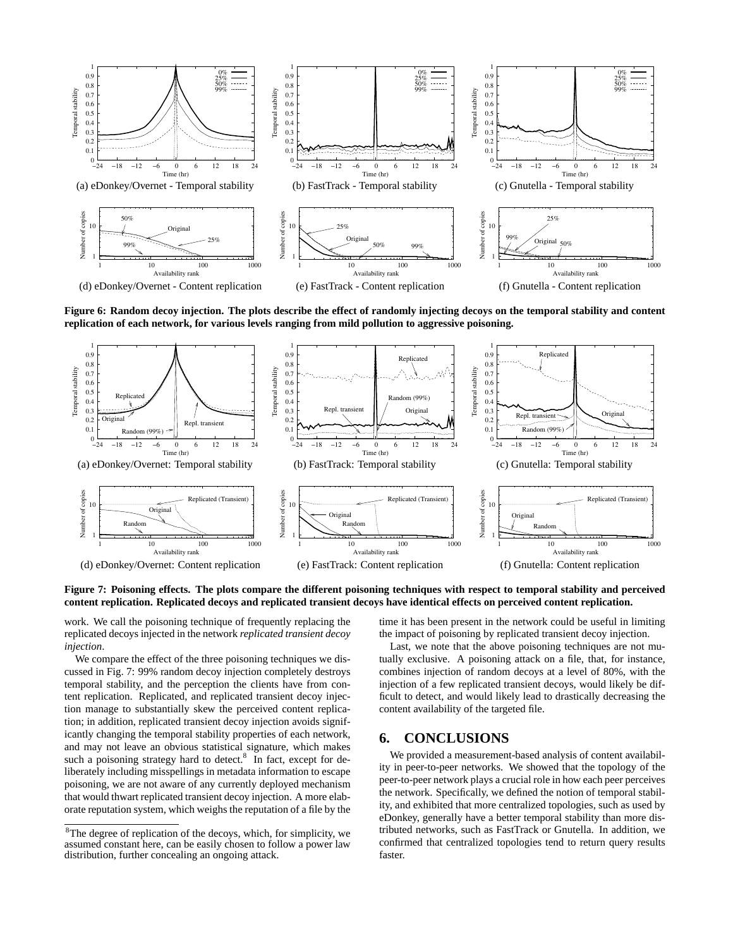

**Figure 6: Random decoy injection. The plots describe the effect of randomly injecting decoys on the temporal stability and content replication of each network, for various levels ranging from mild pollution to aggressive poisoning.**



**Figure 7: Poisoning effects. The plots compare the different poisoning techniques with respect to temporal stability and perceived content replication. Replicated decoys and replicated transient decoys have identical effects on perceived content replication.**

work. We call the poisoning technique of frequently replacing the replicated decoys injected in the network *replicated transient decoy injection*.

We compare the effect of the three poisoning techniques we discussed in Fig. 7: 99% random decoy injection completely destroys temporal stability, and the perception the clients have from content replication. Replicated, and replicated transient decoy injection manage to substantially skew the perceived content replication; in addition, replicated transient decoy injection avoids significantly changing the temporal stability properties of each network, and may not leave an obvious statistical signature, which makes such a poisoning strategy hard to detect. $8\,$  In fact, except for deliberately including misspellings in metadata information to escape poisoning, we are not aware of any currently deployed mechanism that would thwart replicated transient decoy injection. A more elaborate reputation system, which weighs the reputation of a file by the

time it has been present in the network could be useful in limiting the impact of poisoning by replicated transient decoy injection.

Last, we note that the above poisoning techniques are not mutually exclusive. A poisoning attack on a file, that, for instance, combines injection of random decoys at a level of 80%, with the injection of a few replicated transient decoys, would likely be difficult to detect, and would likely lead to drastically decreasing the content availability of the targeted file.

## **6. CONCLUSIONS**

We provided a measurement-based analysis of content availability in peer-to-peer networks. We showed that the topology of the peer-to-peer network plays a crucial role in how each peer perceives the network. Specifically, we defined the notion of temporal stability, and exhibited that more centralized topologies, such as used by eDonkey, generally have a better temporal stability than more distributed networks, such as FastTrack or Gnutella. In addition, we confirmed that centralized topologies tend to return query results faster.

<sup>8</sup>The degree of replication of the decoys, which, for simplicity, we assumed constant here, can be easily chosen to follow a power law distribution, further concealing an ongoing attack.